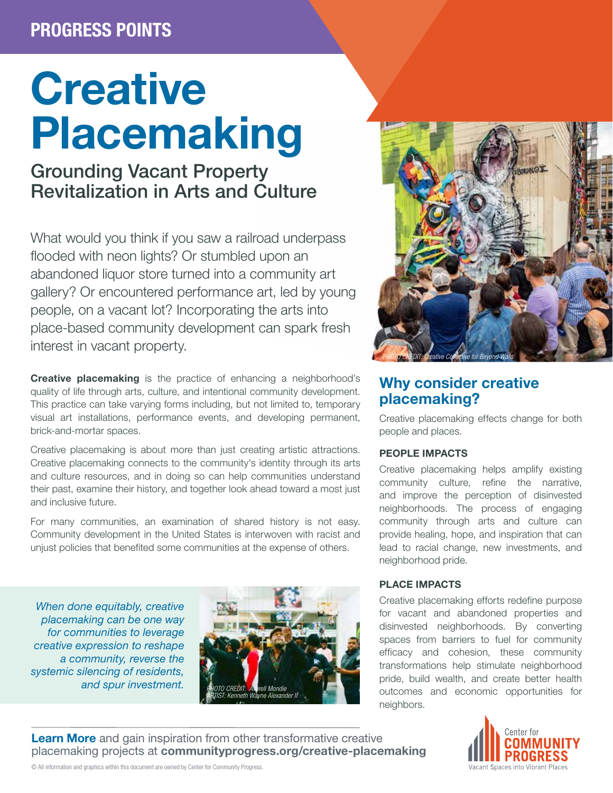# PROGRESS POINTS

# **Creative** Placemaking

# Grounding Vacant Property Revitalization in Arts and Culture

What would you think if you saw a railroad underpass flooded with neon lights? Or stumbled upon an abandoned liquor store turned into a community art gallery? Or encountered performance art, led by young people, on a vacant lot? Incorporating the arts into place-based community development can spark fresh interest in vacant property.

Creative placemaking is the practice of enhancing a neighborhood's quality of life through arts, culture, and intentional community development. This practice can take varying forms including, but not limited to, temporary visual art installations, performance events, and developing permanent, brick-and-mortar spaces.

Creative placemaking is about more than just creating artistic attractions. Creative placemaking connects to the community's identity through its arts and culture resources, and in doing so can help communities understand their past, examine their history, and together look ahead toward a most just and inclusive future.

For many communities, an examination of shared history is not easy. Community development in the United States is interwoven with racist and unjust policies that benefited some communities at the expense of others.

*When done equitably, creative placemaking can be one way for communities to leverage creative expression to reshape a community, reverse the systemic silencing of residents, and spur investment.* 





## Why consider creative placemaking?

Creative placemaking effects change for both people and places.

#### PEOPLE IMPACTS

Creative placemaking helps amplify existing community culture, refine the narrative, and improve the perception of disinvested neighborhoods. The process of engaging community through arts and culture can provide healing, hope, and inspiration that can lead to racial change, new investments, and neighborhood pride.

#### PLACE IMPACTS

Creative placemaking efforts redefine purpose for vacant and abandoned properties and disinvested neighborhoods. By converting spaces from barriers to fuel for community efficacy and cohesion, these community transformations help stimulate neighborhood pride, build wealth, and create better health outcomes and economic opportunities for neighbors.

Learn More and gain inspiration from other transformative creative placemaking projects at [communityprogress.org/creative-placemaking](https://communityprogress.org/resources/creative-placemaking/)